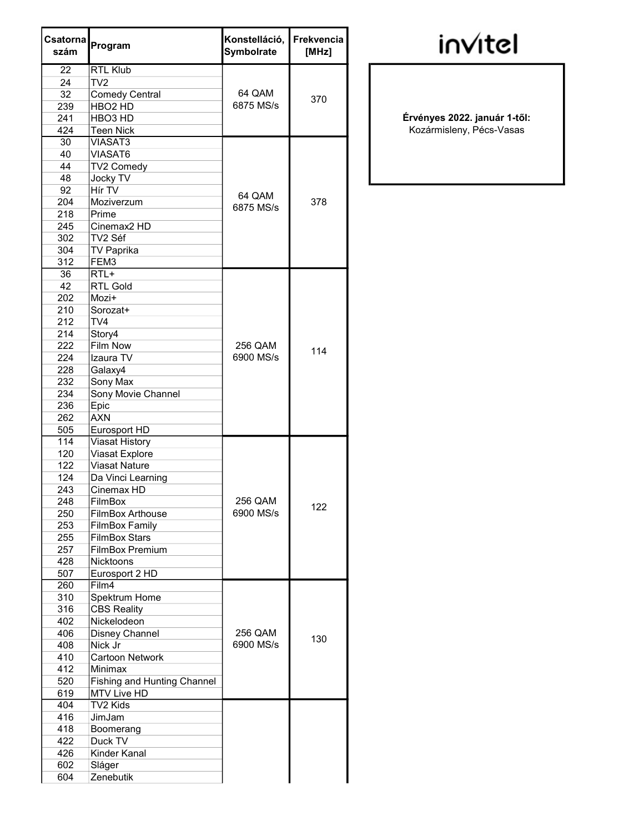| Csatorna<br>szám | Program                            | Konstelláció,<br><b>Symbolrate</b> | Frekvencia<br>[MHz] |
|------------------|------------------------------------|------------------------------------|---------------------|
| 22               | <b>RTL Klub</b>                    |                                    |                     |
| 24               | TV <sub>2</sub>                    |                                    |                     |
| 32               | <b>Comedy Central</b>              | 64 QAM                             | 370                 |
| 239              | HBO <sub>2</sub> HD                | 6875 MS/s                          |                     |
| 241              | HBO <sub>3</sub> HD                |                                    |                     |
| 424              | <b>Teen Nick</b>                   |                                    |                     |
| 30               | <b>VIASAT3</b>                     |                                    |                     |
| 40               | VIASAT6                            |                                    |                     |
| 44               | TV2 Comedy                         |                                    | 378                 |
| 48               | <b>Jocky TV</b>                    |                                    |                     |
| 92               | Hír TV                             | 64 QAM<br>6875 MS/s                |                     |
| 204              | Moziverzum                         |                                    |                     |
| 218              | Prime                              |                                    |                     |
| 245              | Cinemax <sub>2</sub> HD            |                                    |                     |
| 302              | TV2 Séf                            |                                    |                     |
| 304              | <b>TV Paprika</b>                  |                                    |                     |
| 312              | FEM3                               |                                    |                     |
| 36               | $RTL+$                             |                                    |                     |
| 42               | <b>RTL Gold</b>                    |                                    |                     |
| 202              | Mozi+                              |                                    |                     |
| 210              | Sorozat+                           |                                    |                     |
| 212              | TV <sub>4</sub>                    |                                    | 114                 |
| 214              | Story4                             | 256 QAM                            |                     |
| 222              | <b>Film Now</b>                    |                                    |                     |
| 224              | Izaura TV                          | 6900 MS/s                          |                     |
| 228              | Galaxy4                            |                                    |                     |
| 232              | Sony Max                           |                                    |                     |
| 234              | Sony Movie Channel                 |                                    |                     |
| 236              | Epic                               |                                    |                     |
| 262              | <b>AXN</b>                         |                                    |                     |
| 505              | Eurosport HD                       |                                    |                     |
| 114              | <b>Viasat History</b>              |                                    |                     |
| 120              | Viasat Explore                     |                                    | 122                 |
| 122              | <b>Viasat Nature</b>               |                                    |                     |
| 124              | Da Vinci Learning                  |                                    |                     |
| 243              | Cinemax HD                         |                                    |                     |
| 248              | FilmBox                            | 256 QAM                            |                     |
| 250              | FilmBox Arthouse                   | 6900 MS/s                          |                     |
| 253              | <b>FilmBox Family</b>              |                                    |                     |
| 255              | <b>FilmBox Stars</b>               |                                    |                     |
| 257              | <b>FilmBox Premium</b>             |                                    |                     |
| 428              | <b>Nicktoons</b>                   |                                    |                     |
| 507              | Eurosport 2 HD                     |                                    |                     |
| 260              | Film4                              |                                    |                     |
| 310              | Spektrum Home                      |                                    |                     |
| 316              | <b>CBS Reality</b>                 |                                    |                     |
| 402              | Nickelodeon                        |                                    | 130                 |
| 406              | Disney Channel                     | 256 QAM                            |                     |
| 408              | Nick Jr                            | 6900 MS/s                          |                     |
| 410              | <b>Cartoon Network</b>             |                                    |                     |
| 412              | Minimax                            |                                    |                     |
| 520              | <b>Fishing and Hunting Channel</b> |                                    |                     |
| 619              | MTV Live HD                        |                                    |                     |
| 404              | <b>TV2 Kids</b>                    |                                    |                     |
| 416              | JimJam                             |                                    |                     |
| 418              | Boomerang                          |                                    |                     |
| 422              | Duck TV                            |                                    |                     |
| 426              | Kinder Kanal                       |                                    |                     |
| 602              | Sláger                             |                                    |                     |
| 604              | Zenebutik                          |                                    |                     |

## invitel

Érvényes 2022. január 1-től: Kozármisleny, Pécs-Vasas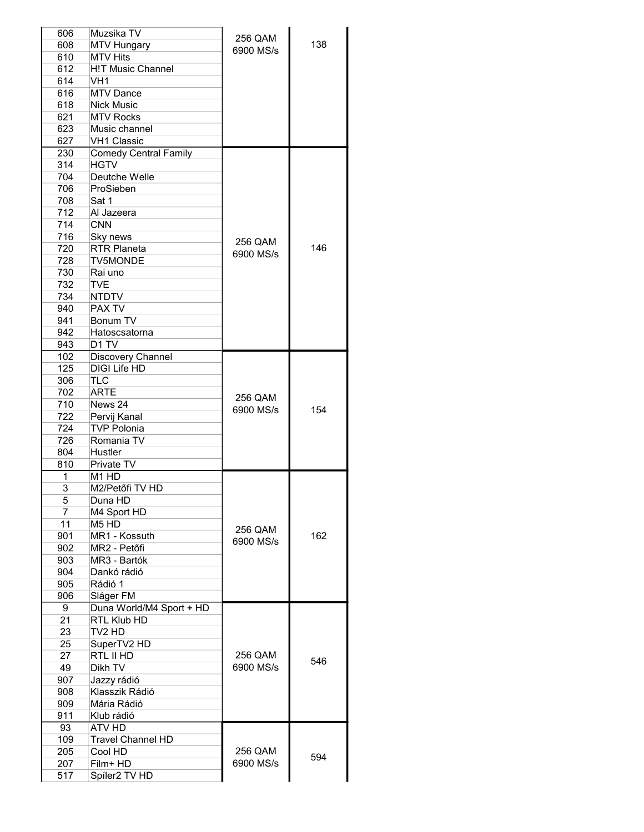| 606            | Muzsika TV                    | 256 QAM   |     |
|----------------|-------------------------------|-----------|-----|
| 608            | <b>MTV Hungary</b>            | 6900 MS/s | 138 |
| 610            | <b>MTV Hits</b>               |           |     |
| 612            | <b>H!T Music Channel</b>      |           |     |
| 614            | VH <sub>1</sub>               |           |     |
| 616            | MTV Dance                     |           |     |
| 618            | <b>Nick Music</b>             |           |     |
| 621            | <b>MTV Rocks</b>              |           |     |
| 623            | Music channel                 |           |     |
| 627            | <b>VH1 Classic</b>            |           |     |
| 230            | <b>Comedy Central Family</b>  |           |     |
| 314            | <b>HGTV</b>                   |           |     |
| 704            | Deutche Welle                 |           |     |
| 706            | ProSieben                     |           |     |
| 708            | Sat 1                         |           |     |
| 712            | Al Jazeera                    |           |     |
| 714            | <b>CNN</b>                    |           |     |
| 716            | Sky news                      |           |     |
| 720            | <b>RTR Planeta</b>            | 256 QAM   | 146 |
| 728            | <b>TV5MONDE</b>               | 6900 MS/s |     |
| 730            | Rai uno                       |           |     |
| 732            | <b>TVE</b>                    |           |     |
| 734            | <b>NTDTV</b>                  |           |     |
| 940            | PAX TV                        |           |     |
| 941            | Bonum TV                      |           |     |
| 942            | Hatoscsatorna                 |           |     |
| 943            | D <sub>1</sub> TV             |           |     |
| 102            | Discovery Channel             |           |     |
| 125            | <b>DIGI Life HD</b>           |           |     |
| 306            | <b>TLC</b>                    |           |     |
| 702            | <b>ARTE</b>                   |           |     |
| 710            | News 24                       | 256 QAM   |     |
| 722            | Pervij Kanal                  | 6900 MS/s | 154 |
| 724            | <b>TVP Polonia</b>            |           |     |
| 726            | Romania TV                    |           |     |
| 804            | Hustler                       |           |     |
| 810            | Private TV                    |           |     |
| 1              | M1 HD                         |           |     |
| 3              | M2/Petőfi TV HD               |           |     |
| 5              | Duna HD                       |           |     |
| $\overline{7}$ | M4 Sport HD                   |           |     |
| 11             | M <sub>5</sub> H <sub>D</sub> |           |     |
| 901            | MR1 - Kossuth                 | 256 QAM   | 162 |
| 902            | MR2 - Petőfi                  | 6900 MS/s |     |
| 903            | MR3 - Bartók                  |           |     |
| 904            | Dankó rádió                   |           |     |
| 905            | Rádió 1                       |           |     |
| 906            | Sláger FM                     |           |     |
| 9              | Duna World/M4 Sport + HD      |           |     |
| 21             | RTL Klub HD                   |           |     |
| 23             | TV2 HD                        |           |     |
| 25             | SuperTV2 HD                   |           |     |
| 27             | RTL II HD                     | 256 QAM   |     |
| 49             | Dikh TV                       | 6900 MS/s | 546 |
| 907            | Jazzy rádió                   |           |     |
| 908            | Klasszik Rádió                |           |     |
| 909            | Mária Rádió                   |           |     |
| 911            | Klub rádió                    |           |     |
| 93             | ATV HD                        |           |     |
|                | <b>Travel Channel HD</b>      |           |     |
| 109<br>205     | Cool HD                       | 256 QAM   |     |
|                | Film+ HD                      | 6900 MS/s | 594 |
| 207            |                               |           |     |
| 517            | Spíler2 TV HD                 |           |     |